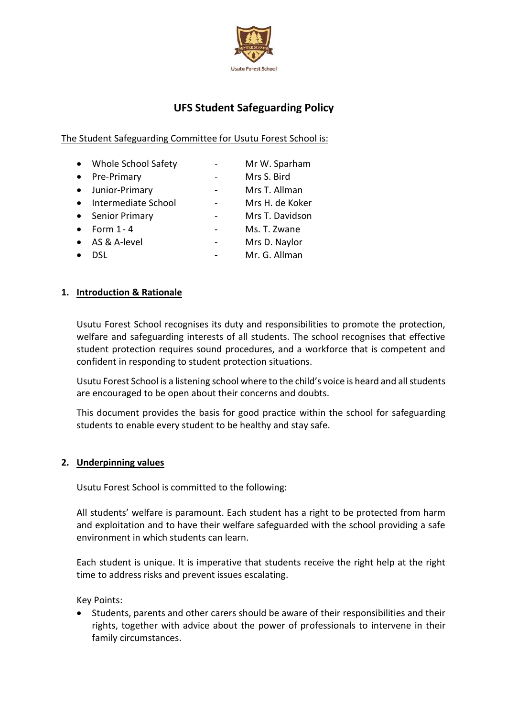

# **UFS Student Safeguarding Policy**

## The Student Safeguarding Committee for Usutu Forest School is:

|           | • Whole School Safety | Mr W. Sparham   |
|-----------|-----------------------|-----------------|
| $\bullet$ | Pre-Primary           | Mrs S. Bird     |
| $\bullet$ | Junior-Primary        | Mrs T. Allman   |
|           | • Intermediate School | Mrs H. de Koker |
|           | • Senior Primary      | Mrs T. Davidson |
| $\bullet$ | Form 1 - 4            | Ms. T. Zwane    |
|           | • AS & A-level        | Mrs D. Naylor   |
|           |                       | Mr. G. Allman   |

## **1. Introduction & Rationale**

Usutu Forest School recognises its duty and responsibilities to promote the protection, welfare and safeguarding interests of all students. The school recognises that effective student protection requires sound procedures, and a workforce that is competent and confident in responding to student protection situations.

Usutu Forest School is a listening school where to the child's voice is heard and all students are encouraged to be open about their concerns and doubts.

This document provides the basis for good practice within the school for safeguarding students to enable every student to be healthy and stay safe.

#### **2. Underpinning values**

Usutu Forest School is committed to the following:

All students' welfare is paramount. Each student has a right to be protected from harm and exploitation and to have their welfare safeguarded with the school providing a safe environment in which students can learn.

Each student is unique. It is imperative that students receive the right help at the right time to address risks and prevent issues escalating.

Key Points:

 Students, parents and other carers should be aware of their responsibilities and their rights, together with advice about the power of professionals to intervene in their family circumstances.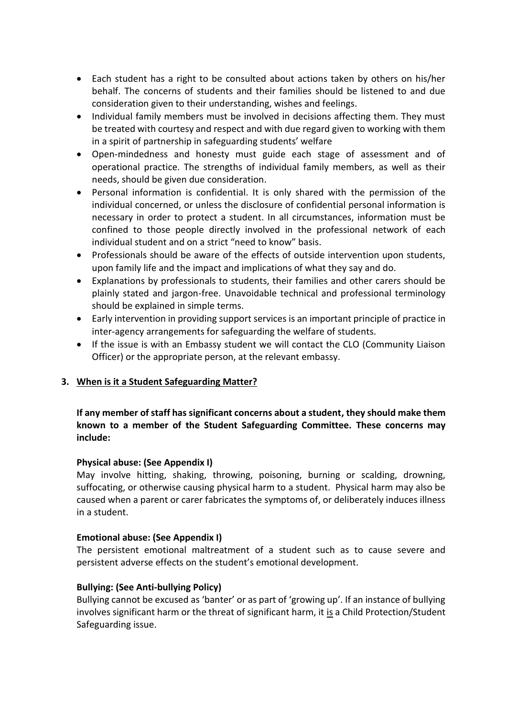- Each student has a right to be consulted about actions taken by others on his/her behalf. The concerns of students and their families should be listened to and due consideration given to their understanding, wishes and feelings.
- Individual family members must be involved in decisions affecting them. They must be treated with courtesy and respect and with due regard given to working with them in a spirit of partnership in safeguarding students' welfare
- Open-mindedness and honesty must guide each stage of assessment and of operational practice. The strengths of individual family members, as well as their needs, should be given due consideration.
- Personal information is confidential. It is only shared with the permission of the individual concerned, or unless the disclosure of confidential personal information is necessary in order to protect a student. In all circumstances, information must be confined to those people directly involved in the professional network of each individual student and on a strict "need to know" basis.
- Professionals should be aware of the effects of outside intervention upon students, upon family life and the impact and implications of what they say and do.
- Explanations by professionals to students, their families and other carers should be plainly stated and jargon-free. Unavoidable technical and professional terminology should be explained in simple terms.
- Early intervention in providing support services is an important principle of practice in inter-agency arrangements for safeguarding the welfare of students.
- If the issue is with an Embassy student we will contact the CLO (Community Liaison Officer) or the appropriate person, at the relevant embassy.

## **3. When is it a Student Safeguarding Matter?**

**If any member of staff has significant concerns about a student, they should make them known to a member of the Student Safeguarding Committee. These concerns may include:**

## **Physical abuse: (See Appendix I)**

May involve hitting, shaking, throwing, poisoning, burning or scalding, drowning, suffocating, or otherwise causing physical harm to a student. Physical harm may also be caused when a parent or carer fabricates the symptoms of, or deliberately induces illness in a student.

## **Emotional abuse: (See Appendix I)**

The persistent emotional maltreatment of a student such as to cause severe and persistent adverse effects on the student's emotional development.

## **Bullying: (See Anti-bullying Policy)**

Bullying cannot be excused as 'banter' or as part of 'growing up'. If an instance of bullying involves significant harm or the threat of significant harm, it is a Child Protection/Student Safeguarding issue.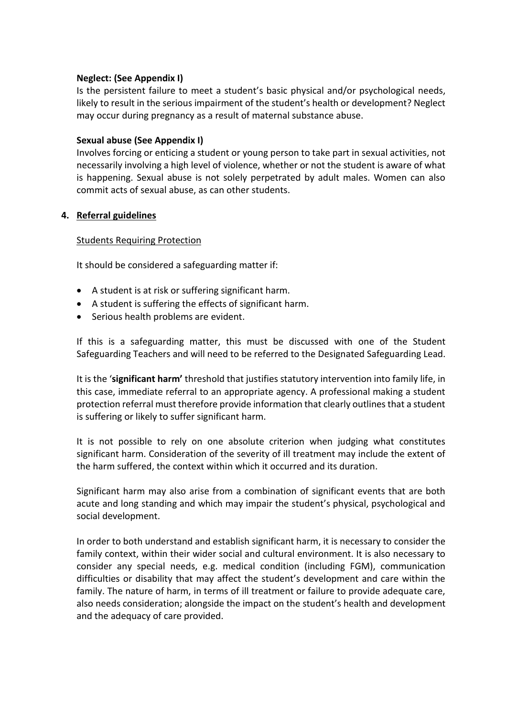### **Neglect: (See Appendix I)**

Is the persistent failure to meet a student's basic physical and/or psychological needs, likely to result in the serious impairment of the student's health or development? Neglect may occur during pregnancy as a result of maternal substance abuse.

## **Sexual abuse (See Appendix I)**

Involves forcing or enticing a student or young person to take part in sexual activities, not necessarily involving a high level of violence, whether or not the student is aware of what is happening. Sexual abuse is not solely perpetrated by adult males. Women can also commit acts of sexual abuse, as can other students.

## **4. Referral guidelines**

#### Students Requiring Protection

It should be considered a safeguarding matter if:

- A student is at risk or suffering significant harm.
- A student is suffering the effects of significant harm.
- Serious health problems are evident.

If this is a safeguarding matter, this must be discussed with one of the Student Safeguarding Teachers and will need to be referred to the Designated Safeguarding Lead.

It is the '**significant harm'** threshold that justifies statutory intervention into family life, in this case, immediate referral to an appropriate agency. A professional making a student protection referral must therefore provide information that clearly outlines that a student is suffering or likely to suffer significant harm.

It is not possible to rely on one absolute criterion when judging what constitutes significant harm. Consideration of the severity of ill treatment may include the extent of the harm suffered, the context within which it occurred and its duration.

Significant harm may also arise from a combination of significant events that are both acute and long standing and which may impair the student's physical, psychological and social development.

In order to both understand and establish significant harm, it is necessary to consider the family context, within their wider social and cultural environment. It is also necessary to consider any special needs, e.g. medical condition (including FGM), communication difficulties or disability that may affect the student's development and care within the family. The nature of harm, in terms of ill treatment or failure to provide adequate care, also needs consideration; alongside the impact on the student's health and development and the adequacy of care provided.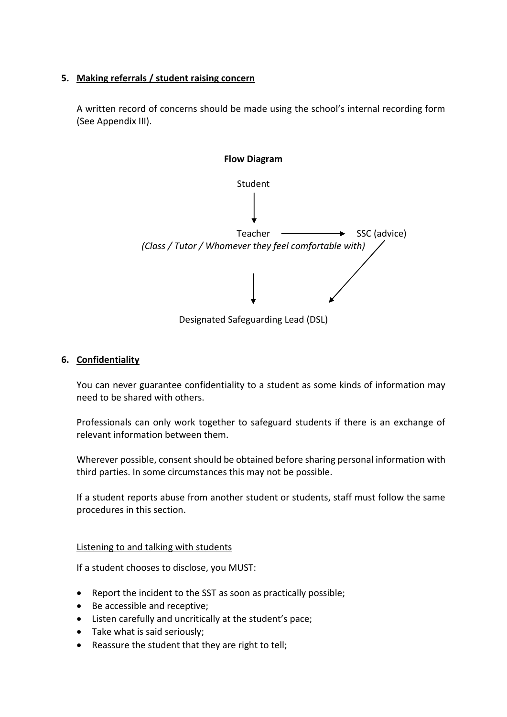## **5. Making referrals / student raising concern**

A written record of concerns should be made using the school's internal recording form (See Appendix III).



Designated Safeguarding Lead (DSL)

#### **6. Confidentiality**

You can never guarantee confidentiality to a student as some kinds of information may need to be shared with others.

Professionals can only work together to safeguard students if there is an exchange of relevant information between them.

Wherever possible, consent should be obtained before sharing personal information with third parties. In some circumstances this may not be possible.

If a student reports abuse from another student or students, staff must follow the same procedures in this section.

#### Listening to and talking with students

If a student chooses to disclose, you MUST:

- Report the incident to the SST as soon as practically possible;
- Be accessible and receptive;
- Listen carefully and uncritically at the student's pace;
- Take what is said seriously;
- Reassure the student that they are right to tell;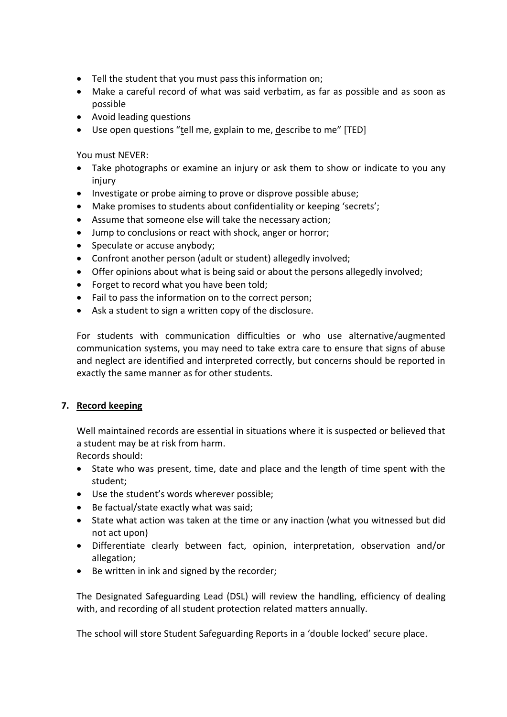- Tell the student that you must pass this information on;
- Make a careful record of what was said verbatim, as far as possible and as soon as possible
- Avoid leading questions
- Use open questions "tell me, explain to me, describe to me" [TED]

You must NEVER:

- Take photographs or examine an injury or ask them to show or indicate to you any injury
- Investigate or probe aiming to prove or disprove possible abuse;
- Make promises to students about confidentiality or keeping 'secrets';
- Assume that someone else will take the necessary action;
- Jump to conclusions or react with shock, anger or horror;
- Speculate or accuse anybody;
- Confront another person (adult or student) allegedly involved;
- Offer opinions about what is being said or about the persons allegedly involved;
- Forget to record what you have been told;
- Fail to pass the information on to the correct person;
- Ask a student to sign a written copy of the disclosure.

For students with communication difficulties or who use alternative/augmented communication systems, you may need to take extra care to ensure that signs of abuse and neglect are identified and interpreted correctly, but concerns should be reported in exactly the same manner as for other students.

## **7. Record keeping**

Well maintained records are essential in situations where it is suspected or believed that a student may be at risk from harm.

Records should:

- State who was present, time, date and place and the length of time spent with the student;
- Use the student's words wherever possible;
- Be factual/state exactly what was said;
- State what action was taken at the time or any inaction (what you witnessed but did not act upon)
- Differentiate clearly between fact, opinion, interpretation, observation and/or allegation;
- Be written in ink and signed by the recorder;

The Designated Safeguarding Lead (DSL) will review the handling, efficiency of dealing with, and recording of all student protection related matters annually.

The school will store Student Safeguarding Reports in a 'double locked' secure place.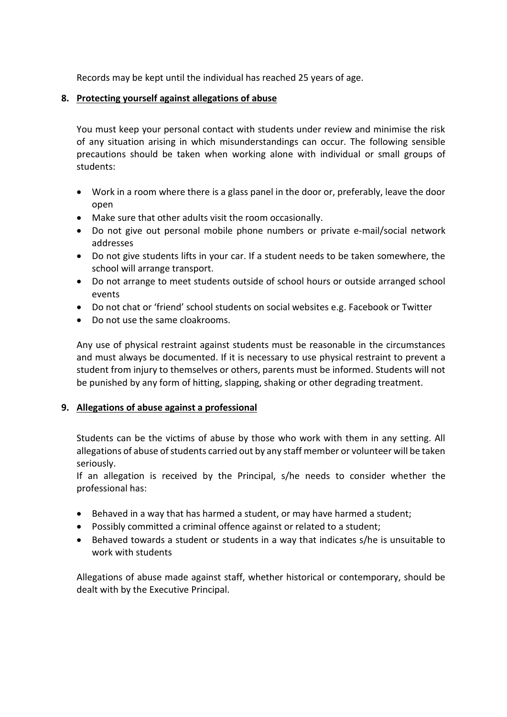Records may be kept until the individual has reached 25 years of age.

## **8. Protecting yourself against allegations of abuse**

You must keep your personal contact with students under review and minimise the risk of any situation arising in which misunderstandings can occur. The following sensible precautions should be taken when working alone with individual or small groups of students:

- Work in a room where there is a glass panel in the door or, preferably, leave the door open
- Make sure that other adults visit the room occasionally.
- Do not give out personal mobile phone numbers or private e-mail/social network addresses
- Do not give students lifts in your car. If a student needs to be taken somewhere, the school will arrange transport.
- Do not arrange to meet students outside of school hours or outside arranged school events
- Do not chat or 'friend' school students on social websites e.g. Facebook or Twitter
- Do not use the same cloakrooms.

Any use of physical restraint against students must be reasonable in the circumstances and must always be documented. If it is necessary to use physical restraint to prevent a student from injury to themselves or others, parents must be informed. Students will not be punished by any form of hitting, slapping, shaking or other degrading treatment.

## **9. Allegations of abuse against a professional**

Students can be the victims of abuse by those who work with them in any setting. All allegations of abuse of students carried out by any staff member or volunteer will be taken seriously.

If an allegation is received by the Principal, s/he needs to consider whether the professional has:

- Behaved in a way that has harmed a student, or may have harmed a student;
- Possibly committed a criminal offence against or related to a student;
- Behaved towards a student or students in a way that indicates s/he is unsuitable to work with students

Allegations of abuse made against staff, whether historical or contemporary, should be dealt with by the Executive Principal.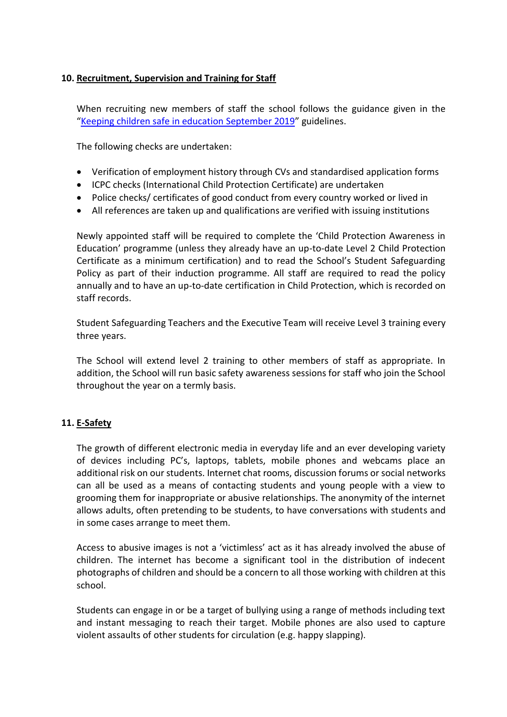## **10. Recruitment, Supervision and Training for Staff**

When recruiting new members of staff the school follows the guidance given in the "[Keeping children safe in education September](https://www.gov.uk/government/uploads/system/uploads/attachment_data/file/550511/Keeping_children_safe_in_education.pdf) 2019" guidelines.

The following checks are undertaken:

- Verification of employment history through CVs and standardised application forms
- ICPC checks (International Child Protection Certificate) are undertaken
- Police checks/ certificates of good conduct from every country worked or lived in
- All references are taken up and qualifications are verified with issuing institutions

Newly appointed staff will be required to complete the 'Child Protection Awareness in Education' programme (unless they already have an up-to-date Level 2 Child Protection Certificate as a minimum certification) and to read the School's Student Safeguarding Policy as part of their induction programme. All staff are required to read the policy annually and to have an up-to-date certification in Child Protection, which is recorded on staff records.

Student Safeguarding Teachers and the Executive Team will receive Level 3 training every three years.

The School will extend level 2 training to other members of staff as appropriate. In addition, the School will run basic safety awareness sessions for staff who join the School throughout the year on a termly basis.

## **11. [E-Safety](file:///M:/School%20Policies/School%20Policies%202017-2018/2.%20Admin/IT%20e-safety%20policy%20.pdf)**

The growth of different electronic media in everyday life and an ever developing variety of devices including PC's, laptops, tablets, mobile phones and webcams place an additional risk on our students. Internet chat rooms, discussion forums or social networks can all be used as a means of contacting students and young people with a view to grooming them for inappropriate or abusive relationships. The anonymity of the internet allows adults, often pretending to be students, to have conversations with students and in some cases arrange to meet them.

Access to abusive images is not a 'victimless' act as it has already involved the abuse of children. The internet has become a significant tool in the distribution of indecent photographs of children and should be a concern to all those working with children at this school.

Students can engage in or be a target of bullying using a range of methods including text and instant messaging to reach their target. Mobile phones are also used to capture violent assaults of other students for circulation (e.g. happy slapping).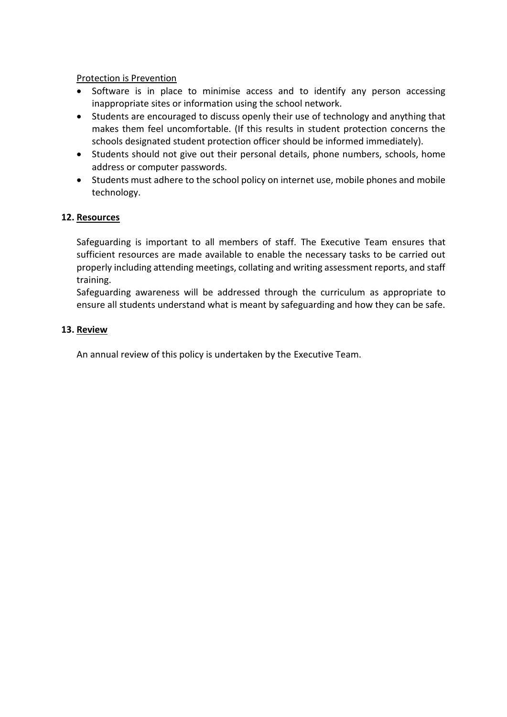## Protection is Prevention

- Software is in place to minimise access and to identify any person accessing inappropriate sites or information using the school network.
- Students are encouraged to discuss openly their use of technology and anything that makes them feel uncomfortable. (If this results in student protection concerns the schools designated student protection officer should be informed immediately).
- Students should not give out their personal details, phone numbers, schools, home address or computer passwords.
- Students must adhere to the school policy on internet use, mobile phones and mobile technology.

## **12. Resources**

Safeguarding is important to all members of staff. The Executive Team ensures that sufficient resources are made available to enable the necessary tasks to be carried out properly including attending meetings, collating and writing assessment reports, and staff training.

Safeguarding awareness will be addressed through the curriculum as appropriate to ensure all students understand what is meant by safeguarding and how they can be safe.

#### **13. Review**

An annual review of this policy is undertaken by the Executive Team.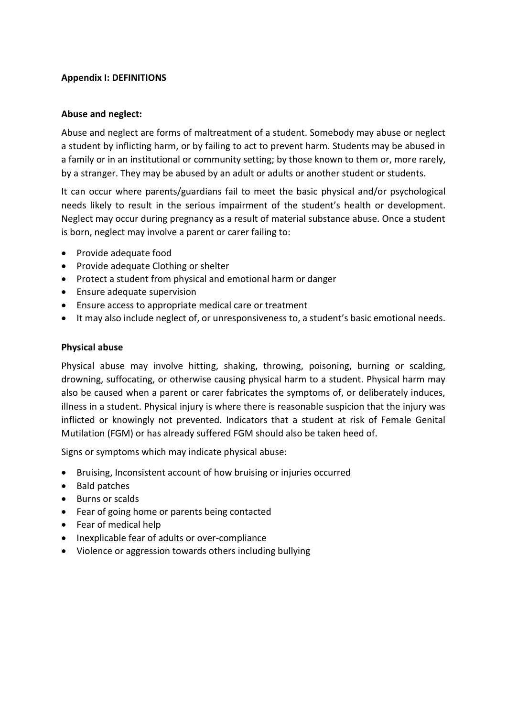## **Appendix I: DEFINITIONS**

#### **Abuse and neglect:**

Abuse and neglect are forms of maltreatment of a student. Somebody may abuse or neglect a student by inflicting harm, or by failing to act to prevent harm. Students may be abused in a family or in an institutional or community setting; by those known to them or, more rarely, by a stranger. They may be abused by an adult or adults or another student or students.

It can occur where parents/guardians fail to meet the basic physical and/or psychological needs likely to result in the serious impairment of the student's health or development. Neglect may occur during pregnancy as a result of material substance abuse. Once a student is born, neglect may involve a parent or carer failing to:

- Provide adequate food
- Provide adequate Clothing or shelter
- Protect a student from physical and emotional harm or danger
- Ensure adequate supervision
- Ensure access to appropriate medical care or treatment
- It may also include neglect of, or unresponsiveness to, a student's basic emotional needs.

#### **Physical abuse**

Physical abuse may involve hitting, shaking, throwing, poisoning, burning or scalding, drowning, suffocating, or otherwise causing physical harm to a student. Physical harm may also be caused when a parent or carer fabricates the symptoms of, or deliberately induces, illness in a student. Physical injury is where there is reasonable suspicion that the injury was inflicted or knowingly not prevented. Indicators that a student at risk of Female Genital Mutilation (FGM) or has already suffered FGM should also be taken heed of.

Signs or symptoms which may indicate physical abuse:

- Bruising, Inconsistent account of how bruising or injuries occurred
- Bald patches
- Burns or scalds
- Fear of going home or parents being contacted
- Fear of medical help
- Inexplicable fear of adults or over-compliance
- Violence or aggression towards others including bullying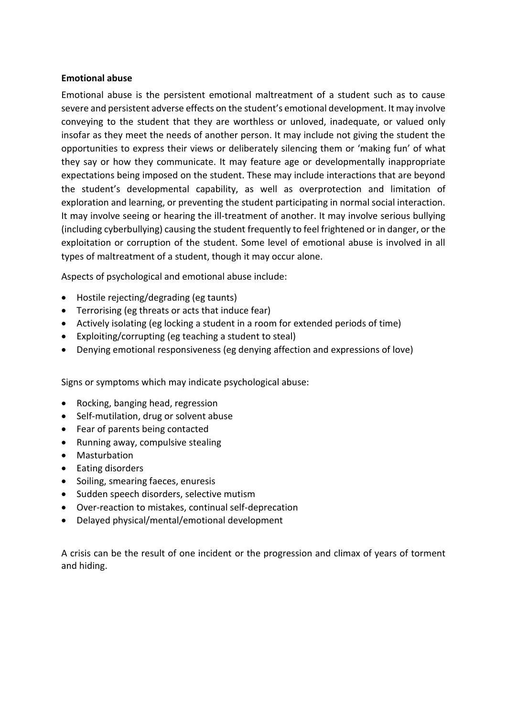#### **Emotional abuse**

Emotional abuse is the persistent emotional maltreatment of a student such as to cause severe and persistent adverse effects on the student's emotional development. It may involve conveying to the student that they are worthless or unloved, inadequate, or valued only insofar as they meet the needs of another person. It may include not giving the student the opportunities to express their views or deliberately silencing them or 'making fun' of what they say or how they communicate. It may feature age or developmentally inappropriate expectations being imposed on the student. These may include interactions that are beyond the student's developmental capability, as well as overprotection and limitation of exploration and learning, or preventing the student participating in normal social interaction. It may involve seeing or hearing the ill-treatment of another. It may involve serious bullying (including cyberbullying) causing the student frequently to feel frightened or in danger, or the exploitation or corruption of the student. Some level of emotional abuse is involved in all types of maltreatment of a student, though it may occur alone.

Aspects of psychological and emotional abuse include:

- Hostile rejecting/degrading (eg taunts)
- Terrorising (eg threats or acts that induce fear)
- Actively isolating (eg locking a student in a room for extended periods of time)
- Exploiting/corrupting (eg teaching a student to steal)
- Denying emotional responsiveness (eg denying affection and expressions of love)

Signs or symptoms which may indicate psychological abuse:

- Rocking, banging head, regression
- Self-mutilation, drug or solvent abuse
- Fear of parents being contacted
- Running away, compulsive stealing
- Masturbation
- Eating disorders
- Soiling, smearing faeces, enuresis
- Sudden speech disorders, selective mutism
- Over-reaction to mistakes, continual self-deprecation
- Delayed physical/mental/emotional development

A crisis can be the result of one incident or the progression and climax of years of torment and hiding.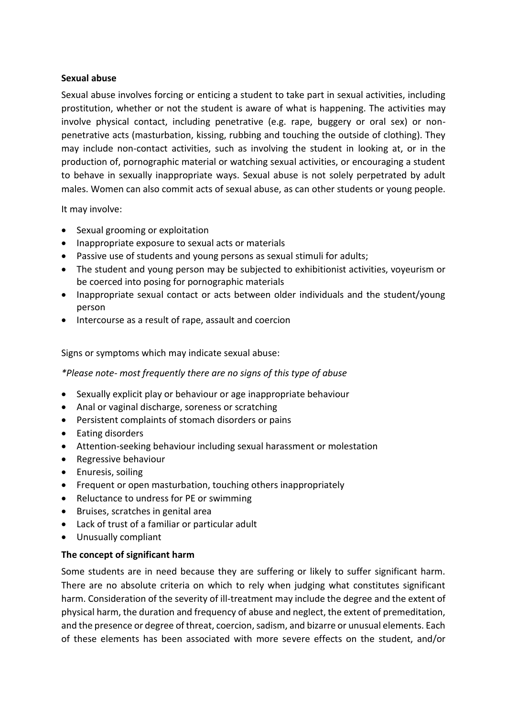#### **Sexual abuse**

Sexual abuse involves forcing or enticing a student to take part in sexual activities, including prostitution, whether or not the student is aware of what is happening. The activities may involve physical contact, including penetrative (e.g. rape, buggery or oral sex) or nonpenetrative acts (masturbation, kissing, rubbing and touching the outside of clothing). They may include non-contact activities, such as involving the student in looking at, or in the production of, pornographic material or watching sexual activities, or encouraging a student to behave in sexually inappropriate ways. Sexual abuse is not solely perpetrated by adult males. Women can also commit acts of sexual abuse, as can other students or young people.

It may involve:

- Sexual grooming or exploitation
- Inappropriate exposure to sexual acts or materials
- Passive use of students and young persons as sexual stimuli for adults;
- The student and young person may be subjected to exhibitionist activities, voyeurism or be coerced into posing for pornographic materials
- Inappropriate sexual contact or acts between older individuals and the student/young person
- Intercourse as a result of rape, assault and coercion

Signs or symptoms which may indicate sexual abuse:

*\*Please note- most frequently there are no signs of this type of abuse*

- Sexually explicit play or behaviour or age inappropriate behaviour
- Anal or vaginal discharge, soreness or scratching
- Persistent complaints of stomach disorders or pains
- Eating disorders
- Attention-seeking behaviour including sexual harassment or molestation
- Regressive behaviour
- **•** Enuresis, soiling
- Frequent or open masturbation, touching others inappropriately
- Reluctance to undress for PE or swimming
- Bruises, scratches in genital area
- Lack of trust of a familiar or particular adult
- Unusually compliant

#### **The concept of significant harm**

Some students are in need because they are suffering or likely to suffer significant harm. There are no absolute criteria on which to rely when judging what constitutes significant harm. Consideration of the severity of ill-treatment may include the degree and the extent of physical harm, the duration and frequency of abuse and neglect, the extent of premeditation, and the presence or degree of threat, coercion, sadism, and bizarre or unusual elements. Each of these elements has been associated with more severe effects on the student, and/or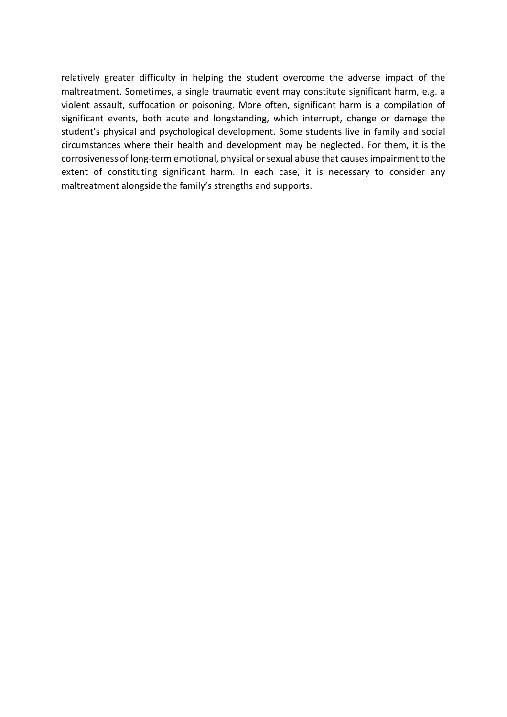relatively greater difficulty in helping the student overcome the adverse impact of the maltreatment. Sometimes, a single traumatic event may constitute significant harm, e.g. a violent assault, suffocation or poisoning. More often, significant harm is a compilation of significant events, both acute and longstanding, which interrupt, change or damage the student's physical and psychological development. Some students live in family and social circumstances where their health and development may be neglected. For them, it is the corrosiveness of long-term emotional, physical or sexual abuse that causes impairment to the extent of constituting significant harm. In each case, it is necessary to consider any maltreatment alongside the family's strengths and supports.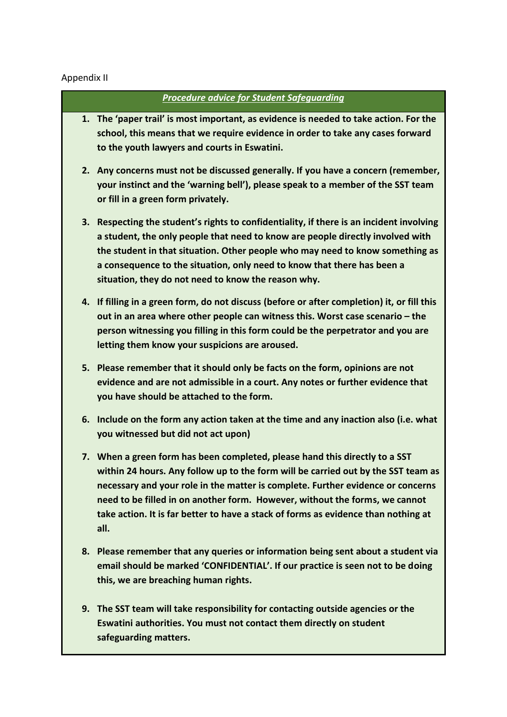## Appendix II

#### *Procedure advice for Student Safeguarding*

- **1. The 'paper trail' is most important, as evidence is needed to take action. For the school, this means that we require evidence in order to take any cases forward to the youth lawyers and courts in Eswatini.**
- **2. Any concerns must not be discussed generally. If you have a concern (remember, your instinct and the 'warning bell'), please speak to a member of the SST team or fill in a green form privately.**
- **3. Respecting the student's rights to confidentiality, if there is an incident involving a student, the only people that need to know are people directly involved with the student in that situation. Other people who may need to know something as a consequence to the situation, only need to know that there has been a situation, they do not need to know the reason why.**
- **4. If filling in a green form, do not discuss (before or after completion) it, or fill this out in an area where other people can witness this. Worst case scenario – the person witnessing you filling in this form could be the perpetrator and you are letting them know your suspicions are aroused.**
- **5. Please remember that it should only be facts on the form, opinions are not evidence and are not admissible in a court. Any notes or further evidence that you have should be attached to the form.**
- **6. Include on the form any action taken at the time and any inaction also (i.e. what you witnessed but did not act upon)**
- **7. When a green form has been completed, please hand this directly to a SST within 24 hours. Any follow up to the form will be carried out by the SST team as necessary and your role in the matter is complete. Further evidence or concerns need to be filled in on another form. However, without the forms, we cannot take action. It is far better to have a stack of forms as evidence than nothing at all.**
- **8. Please remember that any queries or information being sent about a student via email should be marked 'CONFIDENTIAL'. If our practice is seen not to be doing this, we are breaching human rights.**
- **9. The SST team will take responsibility for contacting outside agencies or the Eswatini authorities. You must not contact them directly on student safeguarding matters.**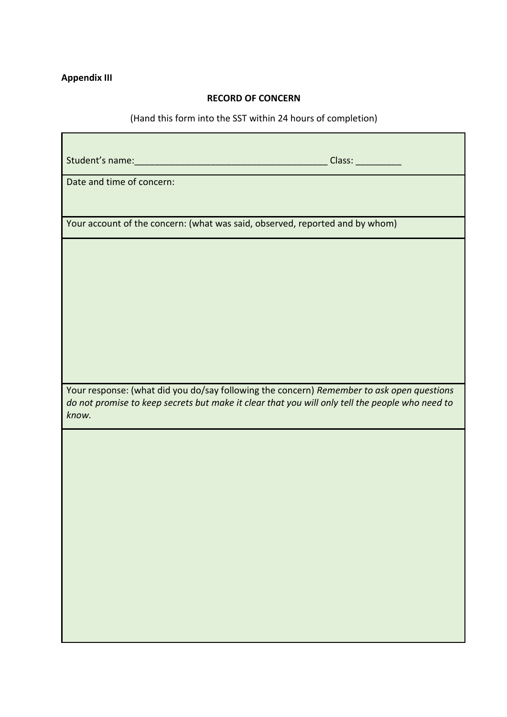#### **Appendix III**

#### **RECORD OF CONCERN**

## (Hand this form into the SST within 24 hours of completion)

Student's name:\_\_\_\_\_\_\_\_\_\_\_\_\_\_\_\_\_\_\_\_\_\_\_\_\_\_\_\_\_\_\_\_\_\_\_\_\_\_ Class: \_\_\_\_\_\_\_\_\_

Date and time of concern:

Your account of the concern: (what was said, observed, reported and by whom)

Your response: (what did you do/say following the concern) *Remember to ask open questions do not promise to keep secrets but make it clear that you will only tell the people who need to know.*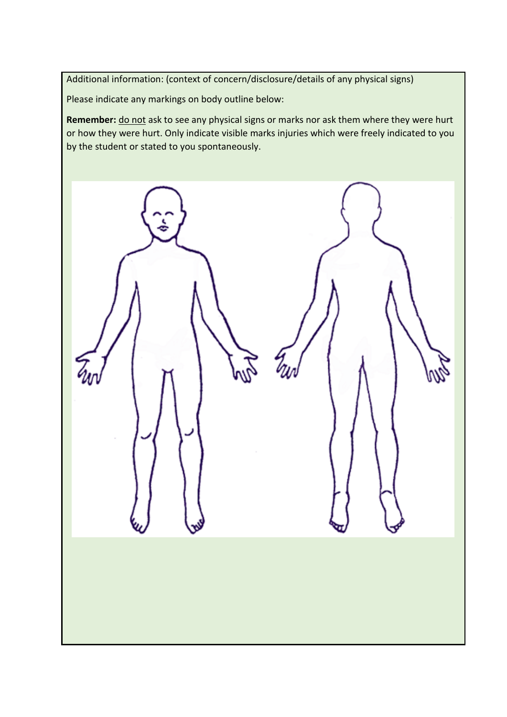Additional information: (context of concern/disclosure/details of any physical signs)

Please indicate any markings on body outline below:

Remember: **do not** ask to see any physical signs or marks nor ask them where they were hurt or how they were hurt. Only indicate visible marks injuries which were freely indicated to you by the student or stated to you spontaneously.

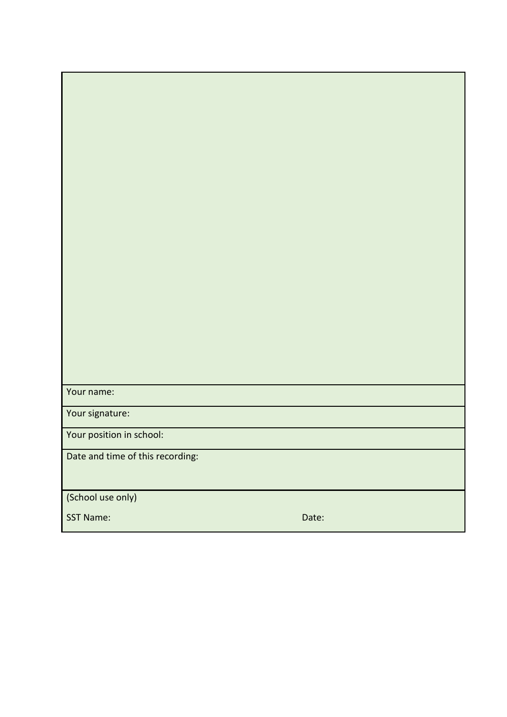| Your name:                       |       |
|----------------------------------|-------|
|                                  |       |
| Your signature:                  |       |
| Your position in school:         |       |
| Date and time of this recording: |       |
|                                  |       |
| (School use only)                |       |
| <b>SST Name:</b>                 | Date: |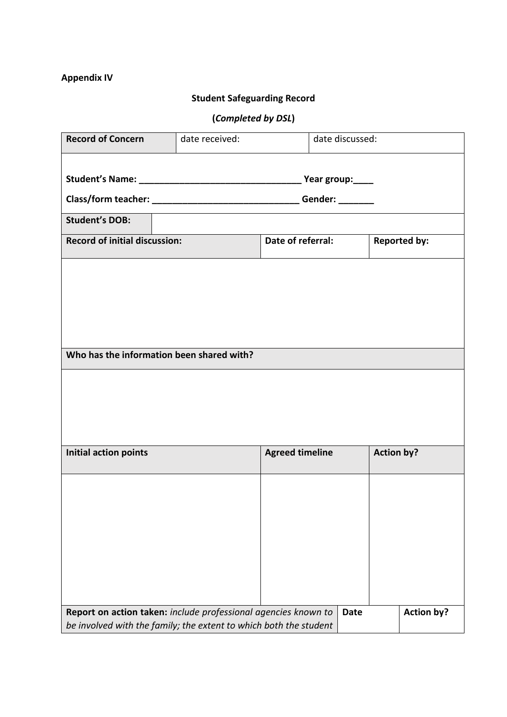## **Appendix IV**

## **Student Safeguarding Record**

# **(***Completed by DSL***)**

| <b>Record of Concern</b>                                       | date received:                                                    |                   |                        | date discussed: |                     |                   |  |
|----------------------------------------------------------------|-------------------------------------------------------------------|-------------------|------------------------|-----------------|---------------------|-------------------|--|
|                                                                |                                                                   |                   |                        |                 |                     |                   |  |
|                                                                |                                                                   |                   |                        |                 |                     |                   |  |
|                                                                |                                                                   |                   |                        |                 |                     |                   |  |
| <b>Student's DOB:</b>                                          |                                                                   |                   |                        |                 |                     |                   |  |
| <b>Record of initial discussion:</b>                           |                                                                   | Date of referral: |                        |                 | <b>Reported by:</b> |                   |  |
|                                                                |                                                                   |                   |                        |                 |                     |                   |  |
|                                                                |                                                                   |                   |                        |                 |                     |                   |  |
|                                                                |                                                                   |                   |                        |                 |                     |                   |  |
|                                                                |                                                                   |                   |                        |                 |                     |                   |  |
|                                                                |                                                                   |                   |                        |                 |                     |                   |  |
| Who has the information been shared with?                      |                                                                   |                   |                        |                 |                     |                   |  |
|                                                                |                                                                   |                   |                        |                 |                     |                   |  |
|                                                                |                                                                   |                   |                        |                 |                     |                   |  |
|                                                                |                                                                   |                   |                        |                 |                     |                   |  |
| Initial action points                                          |                                                                   |                   | <b>Agreed timeline</b> |                 | <b>Action by?</b>   |                   |  |
|                                                                |                                                                   |                   |                        |                 |                     |                   |  |
|                                                                |                                                                   |                   |                        |                 |                     |                   |  |
|                                                                |                                                                   |                   |                        |                 |                     |                   |  |
|                                                                |                                                                   |                   |                        |                 |                     |                   |  |
|                                                                |                                                                   |                   |                        |                 |                     |                   |  |
|                                                                |                                                                   |                   |                        |                 |                     |                   |  |
|                                                                |                                                                   |                   |                        |                 |                     |                   |  |
|                                                                |                                                                   |                   |                        |                 |                     |                   |  |
| Report on action taken: include professional agencies known to | be involved with the family; the extent to which both the student |                   |                        | <b>Date</b>     |                     | <b>Action by?</b> |  |